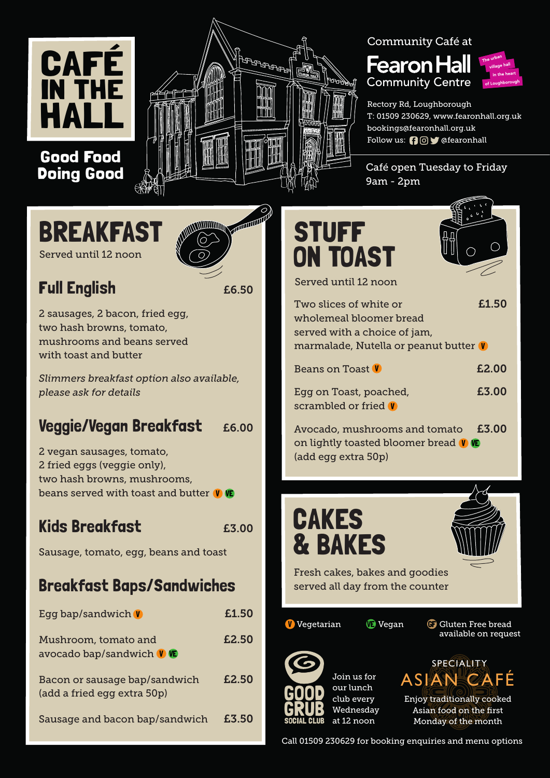

#### Good Food Doing Good

# BREAKFAST

Served until 12 noon

## Full English 66.50

2 sausages, 2 bacon, fried egg, two hash browns, tomato, mushrooms and beans served with toast and butter

*Slimmers breakfast option also available, please ask for details*

## Veggie/Vegan Breakfast £6.00

2 vegan sausages, tomato, 2 fried eggs (veggie only), two hash browns, mushrooms, beans served with toast and butter **V v**E

## Kids Breakfast **EX.00**

Sausage, tomato, egg, beans and toast

## Breakfast Baps/Sandwiches

| Egg bap/sandwich $\mathbf{V}$                                | £1.50 |
|--------------------------------------------------------------|-------|
| Mushroom, tomato and<br>avocado bap/sandwich <b>V VE</b>     | £2.50 |
| Bacon or sausage bap/sandwich<br>(add a fried egg extra 50p) | £2.50 |
| Sausage and bacon bap/sandwich                               | £3.50 |

#### Community Café at





Rectory Rd, Loughborough T: 01509 230629, www.fearonhall.org.uk bookings@fearonhall.org.uk Follow us:  $\bigcap$  (3) of earonhall

Café open Tuesday to Friday 9am - 2pm

# STUFF ON TOAST



Served until 12 noon

Two slices of white or **£1.50** wholemeal bloomer bread served with a choice of jam, marmalade, Nutella or peanut butter V

| Beans on Toast <b>V</b>                               | £2.00 |
|-------------------------------------------------------|-------|
| Egg on Toast, poached,<br>scrambled or fried <b>V</b> | £3.00 |

Avocado, mushrooms and tomato £3.00 on lightly toasted bloomer bread **V E** (add egg extra 50p)





Fresh cakes, bakes and goodies served all day from the counter

**U** Vegetarian **G** Vegan **G** Gluten Free bread



Join us for our lunch club every Wednesday at 12 noon

available on request



Call 01509 230629 for booking enquiries and menu options



**ANARRAL** 

**ATIT THTI** 

**FEEIÏ**